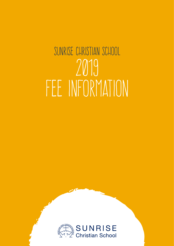## SUNRISE CHRISTIAN SCHOOL 2019 FEE INFORMATION

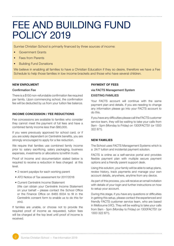### FEE AND BUILDING FUND POLICY 2019

Sunrise Christian School is primarily financed by three sources of income:

- Government Grants
- **Fees from Parents**
- Building Fund Donations

We believe in enabling all families to have a Christian Education if they so desire, therefore we have a Fee Schedule to help those families in low income brackets and those who have several children.

#### **NEW ENROLMENT**

#### Confirmation Fee

There is a \$150 non-refundable confirmation fee required per family. Upon commencing school, the confirmation fee will be deducted by us from your tuition fee balance.

#### **INCOME CONCESSION / FEE REDUCTIONS**

Fee concessions are available to families who consider they cannot meet the payment of full fees and have a combined family income less than \$80,000.

If you were previously approved for school card, or if you are solely dependent on Centrelink benefits, you are strongly encouraged to apply for a fee reduction.

We require that families use combined family income prior to: salary sacrificing, salary packaging, business expenses, investments or allocations to/within trusts.

Proof of Income and documentation stated below is required to receive a reduction in fees charged at this level.

- 2 recent payslips for each working parent
- ATO Notice of Tax assessment for 2017/2018
- Current Centrelink Income Statement (We can obtain your Centrelink Income Statement on your behalf – please contact the School Office or the Finance Office on 8465 6034 to fill in the Centrelink consent form to enable us to do this for you).

If families are unable, or choose not to provide the required proof of income as requested, tuition fees will be charged at the top level until proof of income is received.

#### **PAYMENT OF FEES**

#### via FACTS Management System

#### EXISTING FAMILIES

Your FACTS account will continue with the same payment plan and details. If you are needing to change any information please go into your FACTS account to do this.

If you have any difficulties please call the FACTS customer service team, they will be waiting to take your calls from 9am - 5pm (Monday to Friday) on 1300FACTS1 (or 1300 322 871).

#### **NEW FAMILIES**

The School uses FACTS Management Systems which is a 24/7 tuition and incidental payment solution.

FACTS is online as a self-service portal and provides flexible payment plan with multiple secure payment options and a friendly parent support desk.

Using this solution, your family will be able to setup plans, review history, track payments and manage your own account details, anywhere, anytime from any device.

As part of this process, you will receive an email invitation with details of your login and further instructions on how to setup your account.

During this stage, if you have any questions or difficulties in getting this setup, please contact the experienced and friendly FACTS customer service team, who are based in Melbourne (VIC). They will be waiting to take your calls from 9am - 5pm (Monday to Friday) on 1300FACTS1 (or 1300 322 871).

2 Sunrise Christian School — Fee Information 2019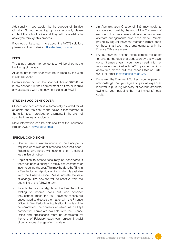Additionally, if you would like the support of Sunrise Christian School in setting up your account, please contact the school office and they will be available to assist you through this process.

If you would like to learn more about the FACTS solution, please visit their website: http://factsmgt.com.au

#### **FEES**

The annual amount for school fees will be billed at the beginning of the year.

All accounts for the year must be finalised by the 30th November 2019.

Parents should contact the Finance Office on 8465 6034 if they cannot fulfil their commitment on time or require any assistance with their payment plans on FACTS.

#### **STUDENT ACCIDENT COVER**

Student accident cover is automatically provided for all students and the cost of the cover is incorporated in the tuition fee. It provides for payments in the event of specified injuries or accidents.

More information can be obtained from the Insurance Broker, AON at www.aon.com.au

#### **SPECIAL CONDITIONS**

- One full term's written notice to the Principal is required when a student intends to leave the School. Failure to give notice will incur one term's school fees in lieu of notice.
- Application to amend fees may be considered if there has been a change in family circumstances or income during the year. This may be done by filling in a Fee Reduction Application form which is available from the Finance Office. Please indicate the date of change. The new fee will be effective from the beginning of the following term.
- Parents that are not eligible for the Fee Reduction relating to income levels but who consider they cannot meet the full payment of fees are encouraged to discuss the matter with the Finance Office. A Fee Reduction Application form is still to be completed, the contents of which will be kept confidential. Forms are available from the Finance Office and applications must be completed by the end of February each year unless financial circumstances change after that date.

- An Administration Charge of \$33 may apply to accounts not paid by the end of the 2nd week of each term to cover administration expenses, unless alternate arrangements have been made. Parents paying by regular payment methods (direct debit) or those that have made arrangements with the Finance Office are exempt.
- FACTS payment options offers parents the ability to change the date of a deduction by a few days, up to 3 times a year if you have a need. If further assistance is required with FACTS payment options at any time, please call the Finance Office on 8465 6034 or email fees@sunrise.sa.edu.au
- By signing the Enrolment Contract, you, as parents, acknowledge that you agree to pay all expenses incurred in pursuing recovery of overdue amounts owing by you, including (but not limited to) legal costs.